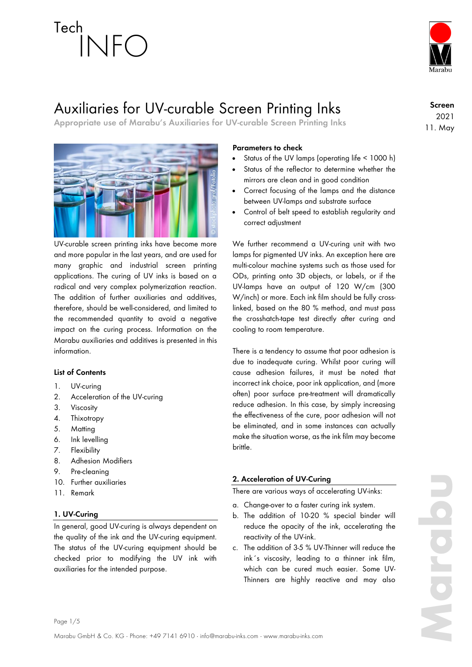

## Auxiliaries for UV-curable Screen Printing Inks

**Appropriate use of Marabu's Auxiliaries for UV-curable Screen Printing Inks**

**Screen** 2021 11. May



UV-curable screen printing inks have become more and more popular in the last years, and are used for many graphic and industrial screen printing applications. The curing of UV inks is based on a radical and very complex polymerization reaction. The addition of further auxiliaries and additives, therefore, should be well-considered, and limited to the recommended quantity to avoid a negative impact on the curing process. Information on the Marabu auxiliaries and additives is presented in this information.

## **List of Contents**

- 1. UV-curing
- 2. Acceleration of the UV-curing
- 3. Viscosity
- 4. Thixotropy
- 5. Matting
- 6. Ink levelling
- 7. Flexibility
- 8. Adhesion Modifiers
- 9. Pre-cleaning
- 10. Further auxiliaries
- 11. Remark

## **1. UV-Curing**

In general, good UV-curing is always dependent on the quality of the ink and the UV-curing equipment. The status of the UV-curing equipment should be checked prior to modifying the UV ink with auxiliaries for the intended purpose.

## **Parameters to check**

- Status of the UV lamps (operating life < 1000 h)
- Status of the reflector to determine whether the mirrors are clean and in good condition
- Correct focusing of the lamps and the distance between UV-lamps and substrate surface
- Control of belt speed to establish regularity and correct adjustment

We further recommend a UV-curing unit with two lamps for pigmented UV inks. An exception here are multi-colour machine systems such as those used for ODs, printing onto 3D objects, or labels, or if the UV-lamps have an output of 120 W/cm (300 W/inch) or more. Each ink film should be fully crosslinked, based on the 80 % method, and must pass the crosshatch-tape test directly after curing and cooling to room temperature.

There is a tendency to assume that poor adhesion is due to inadequate curing. Whilst poor curing will cause adhesion failures, it must be noted that incorrect ink choice, poor ink application, and (more often) poor surface pre-treatment will dramatically reduce adhesion. In this case, by simply increasing the effectiveness of the cure, poor adhesion will not be eliminated, and in some instances can actually make the situation worse, as the ink film may become brittle.

## **2. Acceleration of UV-Curing**

There are various ways of accelerating UV-inks:

- a. Change-over to a faster curing ink system.
- b. The addition of 10-20 % special binder will reduce the opacity of the ink, accelerating the reactivity of the UV-ink.
- c. The addition of 3-5 % UV-Thinner will reduce the ink´s viscosity, leading to a thinner ink film, which can be cured much easier. Some UV-Thinners are highly reactive and may also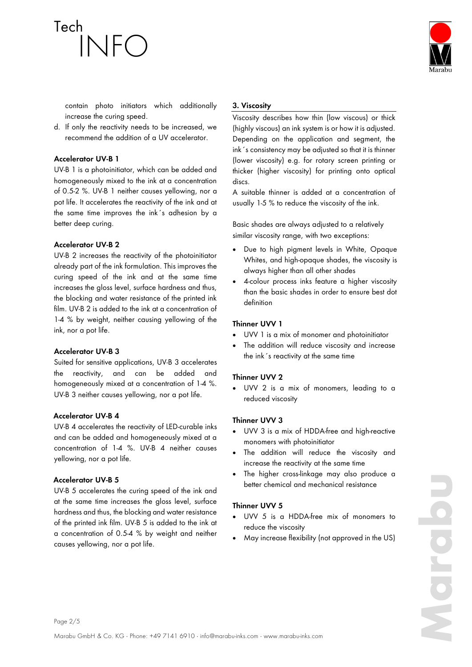

contain photo initiators which additionally increase the curing speed.

d. If only the reactivity needs to be increased, we recommend the addition of a UV accelerator.

## **Accelerator UV-B 1**

UV-B 1 is a photoinitiator, which can be added and homogeneously mixed to the ink at a concentration of 0.5-2 %. UV-B 1 neither causes yellowing, nor a pot life. It accelerates the reactivity of the ink and at the same time improves the ink´s adhesion by a better deep curing.

## **Accelerator UV-B 2**

UV-B 2 increases the reactivity of the photoinitiator already part of the ink formulation. This improves the curing speed of the ink and at the same time increases the gloss level, surface hardness and thus, the blocking and water resistance of the printed ink film. UV-B 2 is added to the ink at a concentration of 1-4 % by weight, neither causing yellowing of the ink, nor a pot life.

### **Accelerator UV-B 3**

Suited for sensitive applications, UV-B 3 accelerates the reactivity, and can be added and homogeneously mixed at a concentration of 1-4 %. UV-B 3 neither causes yellowing, nor a pot life.

## **Accelerator UV-B 4**

UV-B 4 accelerates the reactivity of LED-curable inks and can be added and homogeneously mixed at a concentration of 1-4 %. UV-B 4 neither causes yellowing, nor a pot life.

### **Accelerator UV-B 5**

UV-B 5 accelerates the curing speed of the ink and at the same time increases the gloss level, surface hardness and thus, the blocking and water resistance of the printed ink film. UV-B 5 is added to the ink at a concentration of 0.5-4 % by weight and neither causes yellowing, nor a pot life.

## **3. Viscosity**

Viscosity describes how thin (low viscous) or thick (highly viscous) an ink system is or how it is adjusted. Depending on the application and segment, the ink´s consistency may be adjusted so that it is thinner (lower viscosity) e.g. for rotary screen printing or thicker (higher viscosity) for printing onto optical discs.

A suitable thinner is added at a concentration of usually 1-5 % to reduce the viscosity of the ink.

Basic shades are always adjusted to a relatively similar viscosity range, with two exceptions:

- Due to high pigment levels in White, Opaque Whites, and high-opaque shades, the viscosity is always higher than all other shades
- 4-colour process inks feature a higher viscosity than the basic shades in order to ensure best dot definition

## **Thinner UVV 1**

- UVV 1 is a mix of monomer and photoinitiator
- The addition will reduce viscosity and increase the ink´s reactivity at the same time

## **Thinner UVV 2**

• UVV 2 is a mix of monomers, leading to a reduced viscosity

## **Thinner UVV 3**

- UVV 3 is a mix of HDDA-free and high-reactive monomers with photoinitiator
- The addition will reduce the viscosity and increase the reactivity at the same time
- The higher cross-linkage may also produce a better chemical and mechanical resistance

## **Thinner UVV 5**

- UVV 5 is a HDDA-free mix of monomers to reduce the viscosity
- May increase flexibility (not approved in the US)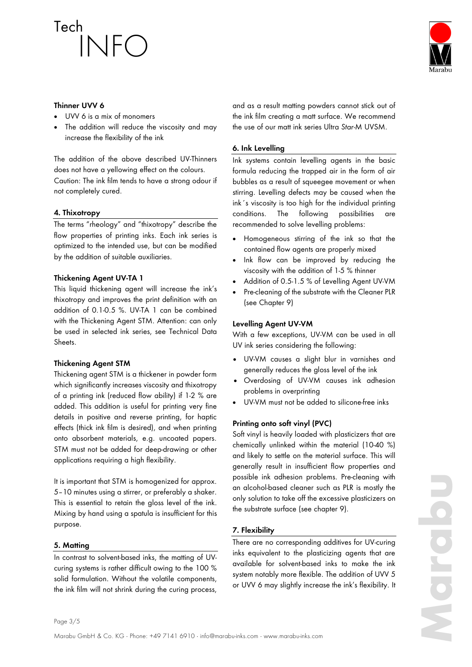

### **Thinner UVV 6**

- UVV 6 is a mix of monomers
- The addition will reduce the viscosity and may increase the flexibility of the ink

The addition of the above described UV-Thinners does not have a yellowing effect on the colours. Caution: The ink film tends to have a strong odour if not completely cured.

## **4. Thixotropy**

The terms "rheology" and "thixotropy" describe the flow properties of printing inks. Each ink series is optimized to the intended use, but can be modified by the addition of suitable auxiliaries.

## **Thickening Agent UV-TA 1**

This liquid thickening agent will increase the ink's thixotropy and improves the print definition with an addition of 0.1-0.5 %. UV-TA 1 can be combined with the Thickening Agent STM. Attention: can only be used in selected ink series, see Technical Data Sheets.

## **Thickening Agent STM**

Thickening agent STM is a thickener in powder form which significantly increases viscosity and thixotropy of a printing ink (reduced flow ability) if 1-2 % are added. This addition is useful for printing very fine details in positive and reverse printing, for haptic effects (thick ink film is desired), and when printing onto absorbent materials, e.g. uncoated papers. STM must not be added for deep-drawing or other applications requiring a high flexibility.

It is important that STM is homogenized for approx. 5–10 minutes using a stirrer, or preferably a shaker. This is essential to retain the gloss level of the ink. Mixing by hand using a spatula is insufficient for this purpose.

## **5. Matting**

In contrast to solvent-based inks, the matting of UVcuring systems is rather difficult owing to the 100 % solid formulation. Without the volatile components, the ink film will not shrink during the curing process,

and as a result matting powders cannot stick out of the ink film creating a matt surface. We recommend the use of our matt ink series Ultra *Star*-M UVSM.

## **6. Ink Levelling**

Ink systems contain levelling agents in the basic formula reducing the trapped air in the form of air bubbles as a result of squeegee movement or when stirring. Levelling defects may be caused when the ink´s viscosity is too high for the individual printing conditions. The following possibilities are recommended to solve levelling problems:

- Homogeneous stirring of the ink so that the contained flow agents are properly mixed
- Ink flow can be improved by reducing the viscosity with the addition of 1-5 % thinner
- Addition of 0.5-1.5 % of Levelling Agent UV-VM
- Pre-cleaning of the substrate with the Cleaner PLR (see Chapter 9)

## **Levelling Agent UV-VM**

With a few exceptions, UV-VM can be used in all UV ink series considering the following:

- UV-VM causes a slight blur in varnishes and generally reduces the gloss level of the ink
- Overdosing of UV-VM causes ink adhesion problems in overprinting
- UV-VM must not be added to silicone-free inks

## **Printing onto soft vinyl (PVC)**

Soft vinyl is heavily loaded with plasticizers that are chemically unlinked within the material (10-40 %) and likely to settle on the material surface. This will generally result in insufficient flow properties and possible ink adhesion problems. Pre-cleaning with an alcohol-based cleaner such as PLR is mostly the only solution to take off the excessive plasticizers on the substrate surface (see chapter 9).

## **7. Flexibility**

There are no corresponding additives for UV-curing inks equivalent to the plasticizing agents that are available for solvent-based inks to make the ink system notably more flexible. The addition of UVV 5 or UVV 6 may slightly increase the ink's flexibility. It

Page 3/5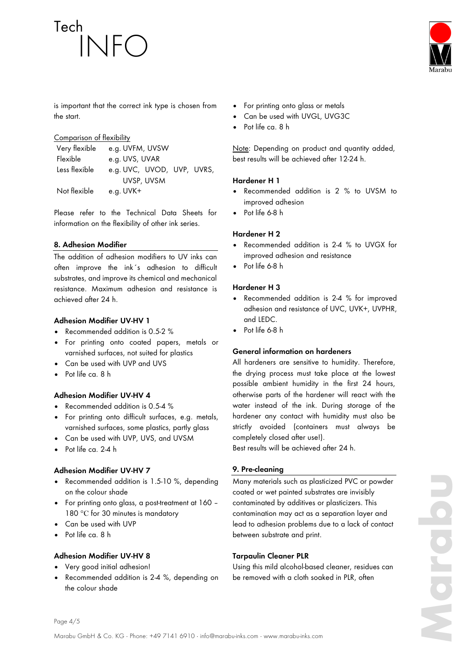

is important that the correct ink type is chosen from the start.

## Comparison of flexibility

| Very flexible | e.g. UVFM, UVSW            |
|---------------|----------------------------|
| Flexible      | e.g. UVS, UVAR             |
| Less flexible | e.g. UVC, UVOD, UVP, UVRS, |
|               | UVSP, UVSM                 |
| Not flexible  | e.g. UVK+                  |

Please refer to the Technical Data Sheets for information on the flexibility of other ink series.

## **8. Adhesion Modifier**

The addition of adhesion modifiers to UV inks can often improve the ink´s adhesion to difficult substrates, and improve its chemical and mechanical resistance. Maximum adhesion and resistance is achieved after 24 h.

## **Adhesion Modifier UV-HV 1**

- Recommended addition is 0.5-2 %
- For printing onto coated papers, metals or varnished surfaces, not suited for plastics
- Can be used with UVP and UVS
- Pot life ca. 8 h

### **Adhesion Modifier UV-HV 4**

- Recommended addition is 0.5-4 %
- For printing onto difficult surfaces, e.g. metals, varnished surfaces, some plastics, partly glass
- Can be used with UVP, UVS, and UVSM
- Pot life ca. 2-4 h

### **Adhesion Modifier UV-HV 7**

- Recommended addition is 1.5-10 %, depending on the colour shade
- For printing onto glass, a post-treatment at 160 180 °C for 30 minutes is mandatory
- Can be used with UVP
- Pot life ca. 8 h

### **Adhesion Modifier UV-HV 8**

- Very good initial adhesion!
- Recommended addition is 2-4 %, depending on the colour shade
- For printing onto glass or metals
- Can be used with UVGL, UVG3C
- Pot life ca. 8 h

Note: Depending on product and quantity added, best results will be achieved after 12-24 h.

### **Hardener H 1**

- Recommended addition is 2 % to UVSM to improved adhesion
- Pot life 6-8 h

#### **Hardener H 2**

- Recommended addition is 2-4 % to UVGX for improved adhesion and resistance
- Pot life 6-8 h

## **Hardener H 3**

- Recommended addition is 2-4 % for improved adhesion and resistance of UVC, UVK+, UVPHR, and LEDC.
- Pot life 6-8 h

## **General information on hardeners**

All hardeners are sensitive to humidity. Therefore, the drying process must take place at the lowest possible ambient humidity in the first 24 hours, otherwise parts of the hardener will react with the water instead of the ink. During storage of the hardener any contact with humidity must also be strictly avoided (containers must always be completely closed after use!).

Best results will be achieved after 24 h.

### **9. Pre-cleaning**

Many materials such as plasticized PVC or powder coated or wet painted substrates are invisibly contaminated by additives or plasticizers. This contamination may act as a separation layer and lead to adhesion problems due to a lack of contact between substrate and print.

### **Tarpaulin Cleaner PLR**

Using this mild alcohol-based cleaner, residues can be removed with a cloth soaked in PLR, often